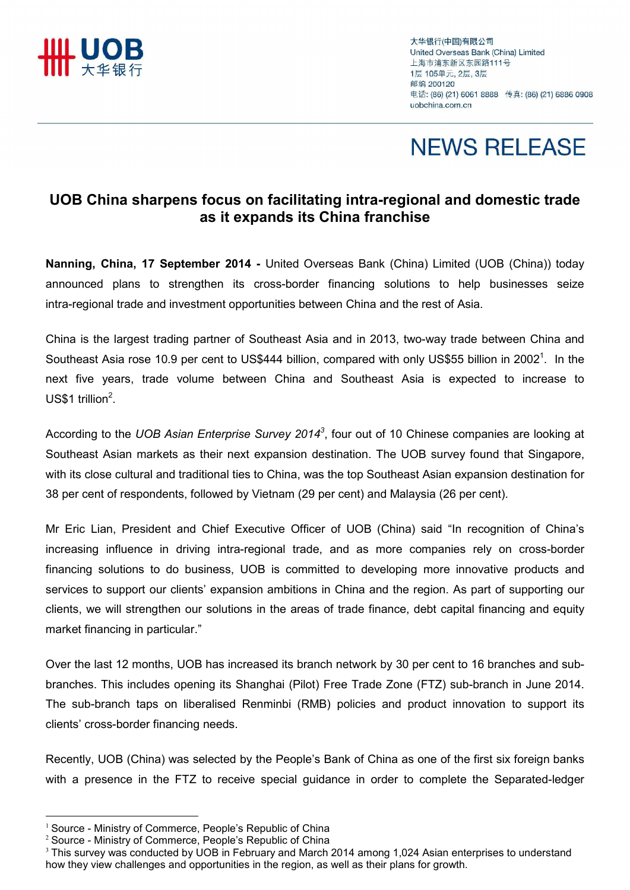

大华银行(中国)有限公司 United Overseas Bank (China) Limited 上海市浦东新区东园路111号 1层 105单元, 2层, 3层 邮编 200120 电话: (86) (21) 6061 8888 传真: (86) (21) 6886 0908 uobchina.com.cn

# **NEWS RELEASE**

### UOB China sharpens focus on facilitating intra-regional and domestic trade as it expands its China franchise

Nanning, China, 17 September 2014 - United Overseas Bank (China) Limited (UOB (China)) today announced plans to strengthen its cross-border financing solutions to help businesses seize intra-regional trade and investment opportunities between China and the rest of Asia.

China is the largest trading partner of Southeast Asia and in 2013, two-way trade between China and Southeast Asia rose 10.9 per cent to US\$444 billion, compared with only US\$55 billion in 2002<sup>1</sup>. In the next five years, trade volume between China and Southeast Asia is expected to increase to US\$1 trillion $2$ .

According to the UOB Asian Enterprise Survey 2014<sup>3</sup>, four out of 10 Chinese companies are looking at Southeast Asian markets as their next expansion destination. The UOB survey found that Singapore, with its close cultural and traditional ties to China, was the top Southeast Asian expansion destination for 38 per cent of respondents, followed by Vietnam (29 per cent) and Malaysia (26 per cent).

Mr Eric Lian, President and Chief Executive Officer of UOB (China) said "In recognition of China's increasing influence in driving intra-regional trade, and as more companies rely on cross-border financing solutions to do business, UOB is committed to developing more innovative products and services to support our clients' expansion ambitions in China and the region. As part of supporting our clients, we will strengthen our solutions in the areas of trade finance, debt capital financing and equity market financing in particular."

Over the last 12 months, UOB has increased its branch network by 30 per cent to 16 branches and subbranches. This includes opening its Shanghai (Pilot) Free Trade Zone (FTZ) sub-branch in June 2014. The sub-branch taps on liberalised Renminbi (RMB) policies and product innovation to support its clients' cross-border financing needs.

Recently, UOB (China) was selected by the People's Bank of China as one of the first six foreign banks with a presence in the FTZ to receive special guidance in order to complete the Separated-ledger

l.

<sup>&</sup>lt;sup>1</sup> Source - Ministry of Commerce, People's Republic of China

<sup>2</sup> Source - Ministry of Commerce, People's Republic of China

<sup>&</sup>lt;sup>3</sup> This survey was conducted by UOB in February and March 2014 among 1,024 Asian enterprises to understand how they view challenges and opportunities in the region, as well as their plans for growth.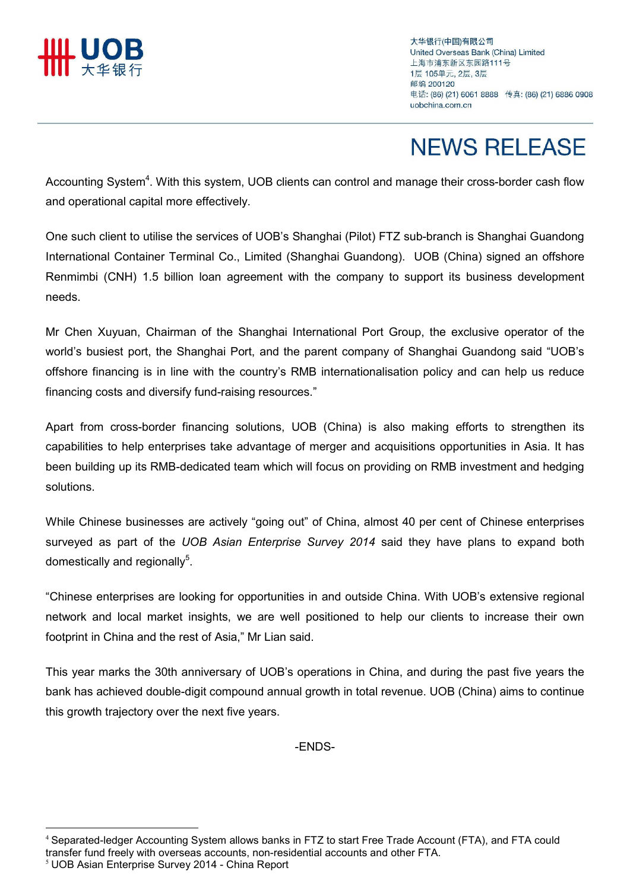

大华银行(中国)有限公司 United Overseas Bank (China) Limited 上海市浦东新区东园路111号 1层 105单元, 2层, 3层 邮编 200120 电话: (86) (21) 6061 8888 传真: (86) (21) 6886 0908 uobchina com cn

# **NEWS RELEASE**

Accounting System<sup>4</sup>. With this system, UOB clients can control and manage their cross-border cash flow and operational capital more effectively.

One such client to utilise the services of UOB's Shanghai (Pilot) FTZ sub-branch is Shanghai Guandong International Container Terminal Co., Limited (Shanghai Guandong). UOB (China) signed an offshore Renmimbi (CNH) 1.5 billion loan agreement with the company to support its business development needs.

Mr Chen Xuyuan, Chairman of the Shanghai International Port Group, the exclusive operator of the world's busiest port, the Shanghai Port, and the parent company of Shanghai Guandong said "UOB's offshore financing is in line with the country's RMB internationalisation policy and can help us reduce financing costs and diversify fund-raising resources."

Apart from cross-border financing solutions, UOB (China) is also making efforts to strengthen its capabilities to help enterprises take advantage of merger and acquisitions opportunities in Asia. It has been building up its RMB-dedicated team which will focus on providing on RMB investment and hedging solutions.

While Chinese businesses are actively "going out" of China, almost 40 per cent of Chinese enterprises surveyed as part of the UOB Asian Enterprise Survey 2014 said they have plans to expand both domestically and regionally<sup>5</sup>.

"Chinese enterprises are looking for opportunities in and outside China. With UOB's extensive regional network and local market insights, we are well positioned to help our clients to increase their own footprint in China and the rest of Asia," Mr Lian said.

This year marks the 30th anniversary of UOB's operations in China, and during the past five years the bank has achieved double-digit compound annual growth in total revenue. UOB (China) aims to continue this growth trajectory over the next five years.

-ENDS-

l.

<sup>4</sup> Separated-ledger Accounting System allows banks in FTZ to start Free Trade Account (FTA), and FTA could transfer fund freely with overseas accounts, non-residential accounts and other FTA.

<sup>5</sup> UOB Asian Enterprise Survey 2014 - China Report